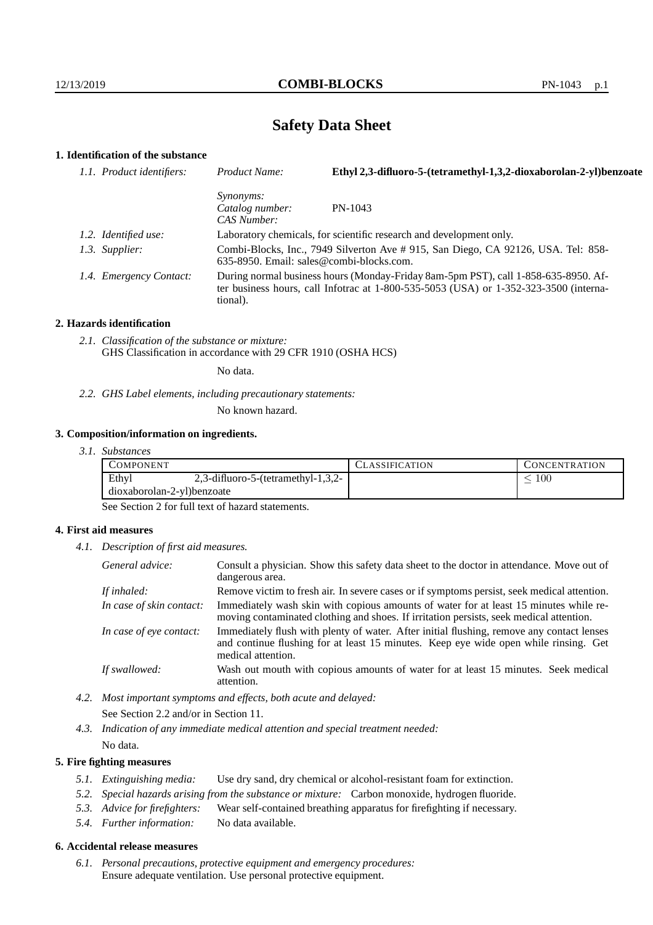# **Safety Data Sheet**

# **1. Identification of the substance**

| 1.1. Product identifiers: | Product Name:                                      | Ethyl 2,3-difluoro-5-(tetramethyl-1,3,2-dioxaborolan-2-yl)benzoate                                                                                                          |
|---------------------------|----------------------------------------------------|-----------------------------------------------------------------------------------------------------------------------------------------------------------------------------|
|                           | <i>Synonyms:</i><br>Catalog number:<br>CAS Number: | $PN-1043$                                                                                                                                                                   |
| 1.2. Identified use:      |                                                    | Laboratory chemicals, for scientific research and development only.                                                                                                         |
| 1.3. Supplier:            | $635-8950$ . Email: sales@combi-blocks.com.        | Combi-Blocks, Inc., 7949 Silverton Ave # 915, San Diego, CA 92126, USA. Tel: 858-                                                                                           |
| 1.4. Emergency Contact:   | tional).                                           | During normal business hours (Monday-Friday 8am-5pm PST), call 1-858-635-8950. Af-<br>ter business hours, call Infotrac at 1-800-535-5053 (USA) or 1-352-323-3500 (interna- |

#### **2. Hazards identification**

*2.1. Classification of the substance or mixture:* GHS Classification in accordance with 29 CFR 1910 (OSHA HCS)

No data.

*2.2. GHS Label elements, including precautionary statements:*

No known hazard.

#### **3. Composition/information on ingredients.**

*3.1. Substances*

| COMPONENT                  |                                       | <b>ASSIFICATION</b> | . `ONCENTR ATION_ |
|----------------------------|---------------------------------------|---------------------|-------------------|
| Ethyl                      | $2,3$ -difluoro-5-(tetramethyl-1,3,2- |                     | 100               |
| dioxaborolan-2-yl)benzoate |                                       |                     |                   |

See Section 2 for full text of hazard statements.

## **4. First aid measures**

*4.1. Description of first aid measures.*

| General advice:          | Consult a physician. Show this safety data sheet to the doctor in attendance. Move out of<br>dangerous area.                                                                                            |
|--------------------------|---------------------------------------------------------------------------------------------------------------------------------------------------------------------------------------------------------|
| If inhaled:              | Remove victim to fresh air. In severe cases or if symptoms persist, seek medical attention.                                                                                                             |
| In case of skin contact: | Immediately wash skin with copious amounts of water for at least 15 minutes while re-<br>moving contaminated clothing and shoes. If irritation persists, seek medical attention.                        |
| In case of eye contact:  | Immediately flush with plenty of water. After initial flushing, remove any contact lenses<br>and continue flushing for at least 15 minutes. Keep eye wide open while rinsing. Get<br>medical attention. |
| If swallowed:            | Wash out mouth with copious amounts of water for at least 15 minutes. Seek medical<br>attention.                                                                                                        |

- *4.2. Most important symptoms and effects, both acute and delayed:* See Section 2.2 and/or in Section 11.
- *4.3. Indication of any immediate medical attention and special treatment needed:* No data.

## **5. Fire fighting measures**

- *5.1. Extinguishing media:* Use dry sand, dry chemical or alcohol-resistant foam for extinction.
- *5.2. Special hazards arising from the substance or mixture:* Carbon monoxide, hydrogen fluoride.
- *5.3. Advice for firefighters:* Wear self-contained breathing apparatus for firefighting if necessary.
- *5.4. Further information:* No data available.

# **6. Accidental release measures**

*6.1. Personal precautions, protective equipment and emergency procedures:* Ensure adequate ventilation. Use personal protective equipment.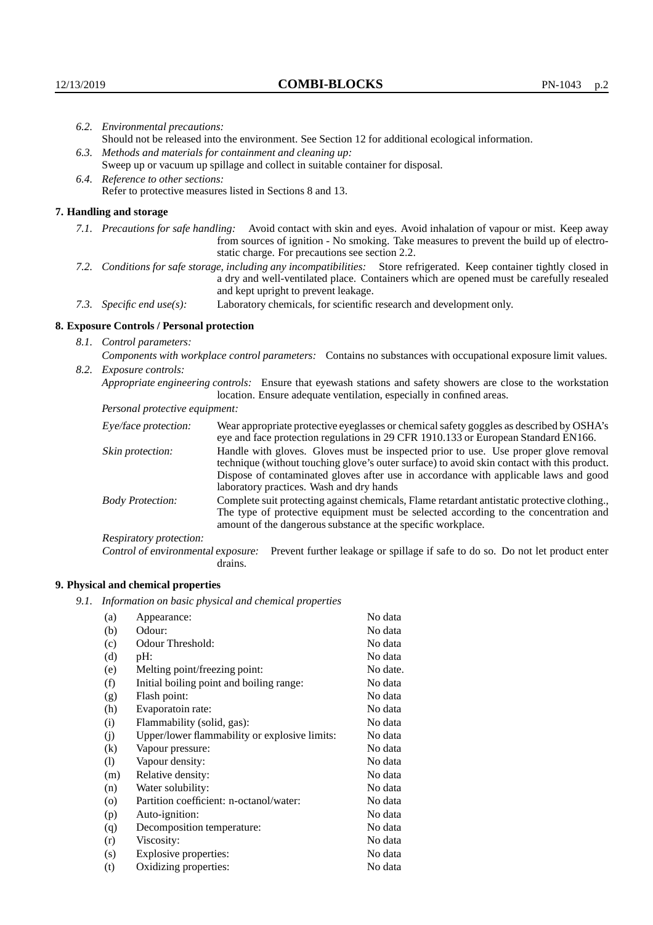|                                                                                                                                                                                                                                                            | 6.2. Environmental precautions:                                                                               |                                                                                                                                                                                                                                                                            |  |  |  |
|------------------------------------------------------------------------------------------------------------------------------------------------------------------------------------------------------------------------------------------------------------|---------------------------------------------------------------------------------------------------------------|----------------------------------------------------------------------------------------------------------------------------------------------------------------------------------------------------------------------------------------------------------------------------|--|--|--|
|                                                                                                                                                                                                                                                            | Should not be released into the environment. See Section 12 for additional ecological information.            |                                                                                                                                                                                                                                                                            |  |  |  |
|                                                                                                                                                                                                                                                            | 6.3. Methods and materials for containment and cleaning up:                                                   |                                                                                                                                                                                                                                                                            |  |  |  |
|                                                                                                                                                                                                                                                            | Sweep up or vacuum up spillage and collect in suitable container for disposal.                                |                                                                                                                                                                                                                                                                            |  |  |  |
|                                                                                                                                                                                                                                                            | 6.4. Reference to other sections:                                                                             |                                                                                                                                                                                                                                                                            |  |  |  |
|                                                                                                                                                                                                                                                            | Refer to protective measures listed in Sections 8 and 13.                                                     |                                                                                                                                                                                                                                                                            |  |  |  |
|                                                                                                                                                                                                                                                            | 7. Handling and storage                                                                                       |                                                                                                                                                                                                                                                                            |  |  |  |
|                                                                                                                                                                                                                                                            |                                                                                                               | 7.1. Precautions for safe handling: Avoid contact with skin and eyes. Avoid inhalation of vapour or mist. Keep away<br>from sources of ignition - No smoking. Take measures to prevent the build up of electro-<br>static charge. For precautions see section 2.2.         |  |  |  |
| 7.2. Conditions for safe storage, including any incompatibilities: Store refrigerated. Keep container tightly closed in<br>a dry and well-ventilated place. Containers which are opened must be carefully resealed<br>and kept upright to prevent leakage. |                                                                                                               |                                                                                                                                                                                                                                                                            |  |  |  |
|                                                                                                                                                                                                                                                            | 7.3. Specific end use(s):                                                                                     | Laboratory chemicals, for scientific research and development only.                                                                                                                                                                                                        |  |  |  |
|                                                                                                                                                                                                                                                            | 8. Exposure Controls / Personal protection                                                                    |                                                                                                                                                                                                                                                                            |  |  |  |
|                                                                                                                                                                                                                                                            | 8.1. Control parameters:                                                                                      |                                                                                                                                                                                                                                                                            |  |  |  |
|                                                                                                                                                                                                                                                            | Components with workplace control parameters: Contains no substances with occupational exposure limit values. |                                                                                                                                                                                                                                                                            |  |  |  |
|                                                                                                                                                                                                                                                            | 8.2. Exposure controls:                                                                                       |                                                                                                                                                                                                                                                                            |  |  |  |
|                                                                                                                                                                                                                                                            |                                                                                                               | Appropriate engineering controls: Ensure that eyewash stations and safety showers are close to the workstation<br>location. Ensure adequate ventilation, especially in confined areas.                                                                                     |  |  |  |
|                                                                                                                                                                                                                                                            | Personal protective equipment:                                                                                |                                                                                                                                                                                                                                                                            |  |  |  |
|                                                                                                                                                                                                                                                            | Eye/face protection:                                                                                          | Wear appropriate protective eyeglasses or chemical safety goggles as described by OSHA's<br>eye and face protection regulations in 29 CFR 1910.133 or European Standard EN166.                                                                                             |  |  |  |
|                                                                                                                                                                                                                                                            | Skin protection:                                                                                              | Handle with gloves. Gloves must be inspected prior to use. Use proper glove removal<br>technique (without touching glove's outer surface) to avoid skin contact with this product.<br>Dispose of contaminated gloves after use in accordance with applicable laws and good |  |  |  |

# **8. Exposure Controls / Personal protection**

| Eye/face protection:               | Wear appropriate protective eyeglasses or chemical safety goggles as described by OSHA's<br>eye and face protection regulations in 29 CFR 1910.133 or European Standard EN166.                                                                                                                                         |  |  |
|------------------------------------|------------------------------------------------------------------------------------------------------------------------------------------------------------------------------------------------------------------------------------------------------------------------------------------------------------------------|--|--|
| Skin protection:                   | Handle with gloves. Gloves must be inspected prior to use. Use proper glove removal<br>technique (without touching glove's outer surface) to avoid skin contact with this product.<br>Dispose of contaminated gloves after use in accordance with applicable laws and good<br>laboratory practices. Wash and dry hands |  |  |
| <b>Body Protection:</b>            | Complete suit protecting against chemicals, Flame retardant antistatic protective clothing.,<br>The type of protective equipment must be selected according to the concentration and<br>amount of the dangerous substance at the specific workplace.                                                                   |  |  |
| Respiratory protection:            |                                                                                                                                                                                                                                                                                                                        |  |  |
| Control of environmental exposure: | Prevent further leakage or spillage if safe to do so. Do not let product enter<br>drains.                                                                                                                                                                                                                              |  |  |

# **9. Physical and chemical properties**

*9.1. Information on basic physical and chemical properties*

| (a)                        | Appearance:                                   | No data  |
|----------------------------|-----------------------------------------------|----------|
| (b)                        | Odour:                                        | No data  |
| (c)                        | Odour Threshold:                              | No data  |
| (d)                        | $pH$ :                                        | No data  |
| (e)                        | Melting point/freezing point:                 | No date. |
| (f)                        | Initial boiling point and boiling range:      | No data  |
| (g)                        | Flash point:                                  | No data  |
| (h)                        | Evaporatoin rate:                             | No data  |
| (i)                        | Flammability (solid, gas):                    | No data  |
| (j)                        | Upper/lower flammability or explosive limits: | No data  |
| (k)                        | Vapour pressure:                              | No data  |
| $\left( \mathrm{l}\right)$ | Vapour density:                               | No data  |
| (m)                        | Relative density:                             | No data  |
| (n)                        | Water solubility:                             | No data  |
| $\rm(o)$                   | Partition coefficient: n-octanol/water:       | No data  |
| (p)                        | Auto-ignition:                                | No data  |
| (q)                        | Decomposition temperature:                    | No data  |
| (r)                        | Viscosity:                                    | No data  |
| (s)                        | Explosive properties:                         | No data  |
| (t)                        | Oxidizing properties:                         | No data  |